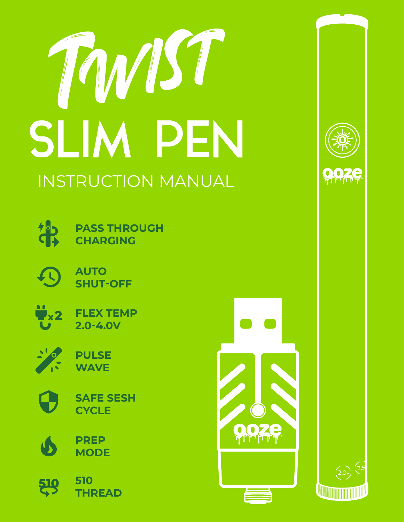





**PASS THROUGH CHARGING**



**AUTO SHUT-OFF**



**FLEX TEMP 2.0-4.0V**



**PULSE WAVE**



**SAFE SESH CYCLE**



**510** 519 **THREAD**



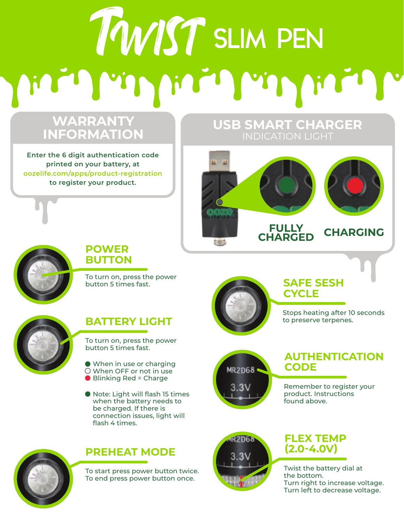# TWIST SLIM PEN

## **WARRANTY INFORMATION**

**Enter the 6 digit authentication code printed on your battery, at oozelife.com/apps/product-registration to register your product.**

# **USB SMART CHARGER**





### **POWER BUTTON**

To turn on, press the power button 5 times fast.



### **BATTERY LIGHT**

To turn on, press the power button 5 times fast.

- When in use or charging When OFF or not in use
- Blinking Red = Charge
- Note: Light will flash 15 times when the battery needs to be charged. If there is connection issues, light will flash 4 times.



### **PREHEAT MODE**

To start press power button twice. To end press power button once.



### **SAFE SESH CYCLE**

Stops heating after 10 seconds to preserve terpenes.



### **AUTHENTICATION CODE**

Remember to register your product. Instructions found above.



### **FLEX TEMP (2.0-4.0V)**

Twist the battery dial at the bottom. Turn right to increase voltage. Turn left to decrease voltage.